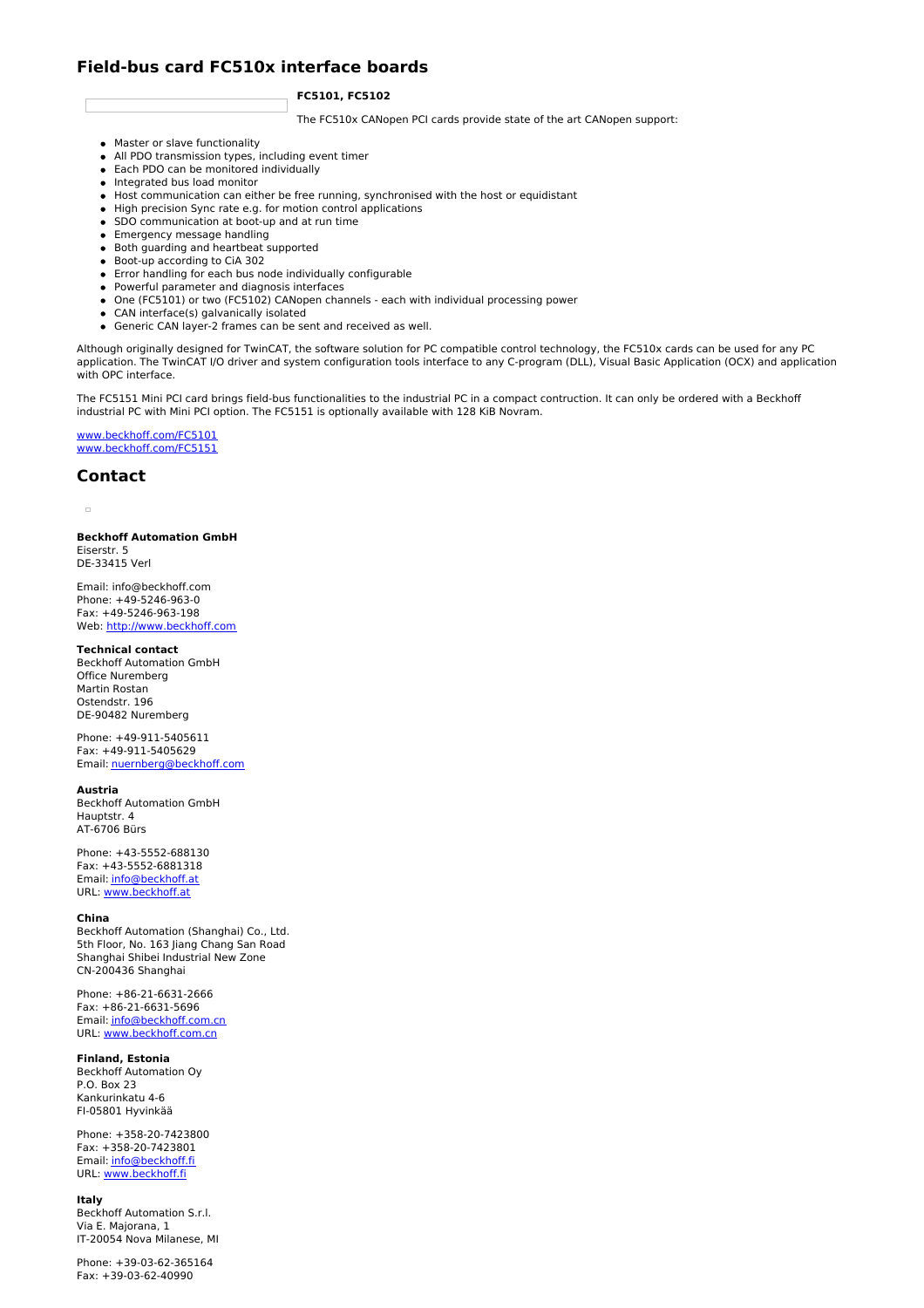# **Field-bus card FC510x interface boards**

## **FC5101, FC5102**

The FC510x CANopen PCI cards provide state of the art CANopen support:

- Master or slave functionality
- All PDO transmission types, including event timer
- Each PDO can be monitored individually
- Integrated bus load monitor
- Host communication can either be free running, synchronised with the host or equidistant
- High precision Sync rate e.g. for motion control applications SDO communication at boot-up and at run time
- **Emergency message handling**
- Both guarding and heartbeat supported
- Boot-up according to CiA 302
- Error handling for each bus node individually configurable
- Powerful parameter and diagnosis interfaces
- One (FC5101) or two (FC5102) CANopen channels each with individual processing power
- CAN interface(s) galvanically isolated
- Generic CAN layer-2 frames can be sent and received as well.

Although originally designed for TwinCAT, the software solution for PC compatible control technology, the FC510x cards can be used for any PC application. The TwinCAT I/O driver and system configuration tools interface to any C-program (DLL), Visual Basic Application (OCX) and application with OPC interface.

The FC5151 Mini PCI card brings field-bus functionalities to the industrial PC in a compact contruction. It can only be ordered with a Beckhoff industrial PC with Mini PCI option. The FC5151 is optionally available with 128 KiB Novram.

[www.beckhoff.com/FC5101](http://www.beckhoff.com/FC5101) [www.beckhoff.com/FC5151](http://www.beckhoff.com/FC5151)

# **Contact**

 $\sim$ 

**Beckhoff Automation GmbH** Eiserstr. 5 DE-33415 Verl

Email: info@beckhoff.com Phone: +49-5246-963-0 Fax: +49-5246-963-198 Web: <http://www.beckhoff.com>

**Technical contact** Beckhoff Automation GmbH Office Nuremberg Martin Rostan Ostendstr. 196 DE-90482 Nuremberg

Phone: +49-911-5405611 Fax: +49-911-5405629 Email: [nuernberg@beckhoff.com](mailto:nuernberg@beckhoff.com)

#### **Austria**

Beckhoff Automation GmbH Hauptstr. 4 AT-6706 Bürs

Phone: +43-5552-688130 Fax: +43-5552-6881318 Email: [info@beckhoff.at](mailto:info@beckhoff.at) URL: [www.beckhoff.at](http://www.beckhoff.at)

#### **China**

Beckhoff Automation (Shanghai) Co., Ltd. 5th Floor, No. 163 Jiang Chang San Road Shanghai Shibei Industrial New Zone CN-200436 Shanghai

Phone: +86-21-6631-2666 Fax: +86-21-6631-5696 Email: [info@beckhoff.com.cn](mailto:info@beckhoff.com.cn) URL: [www.beckhoff.com.cn](http://www.beckhoff.com.cn)

## **Finland, Estonia**

Beckhoff Automation Oy P.O. Box 23 Kankurinkatu 4-6 FI-05801 Hyvinkää

Phone: +358-20-7423800 Fax: +358-20-7423801 Email: [info@beckhoff.fi](mailto:info@beckhoff.fi) URL: [www.beckhoff.fi](http://www.beckhoff.fi)

## **Italy**

Beckhoff Automation S.r.l. Via E. Majorana, 1 IT-20054 Nova Milanese, MI

Phone: +39-03-62-365164 Fax: +39-03-62-40990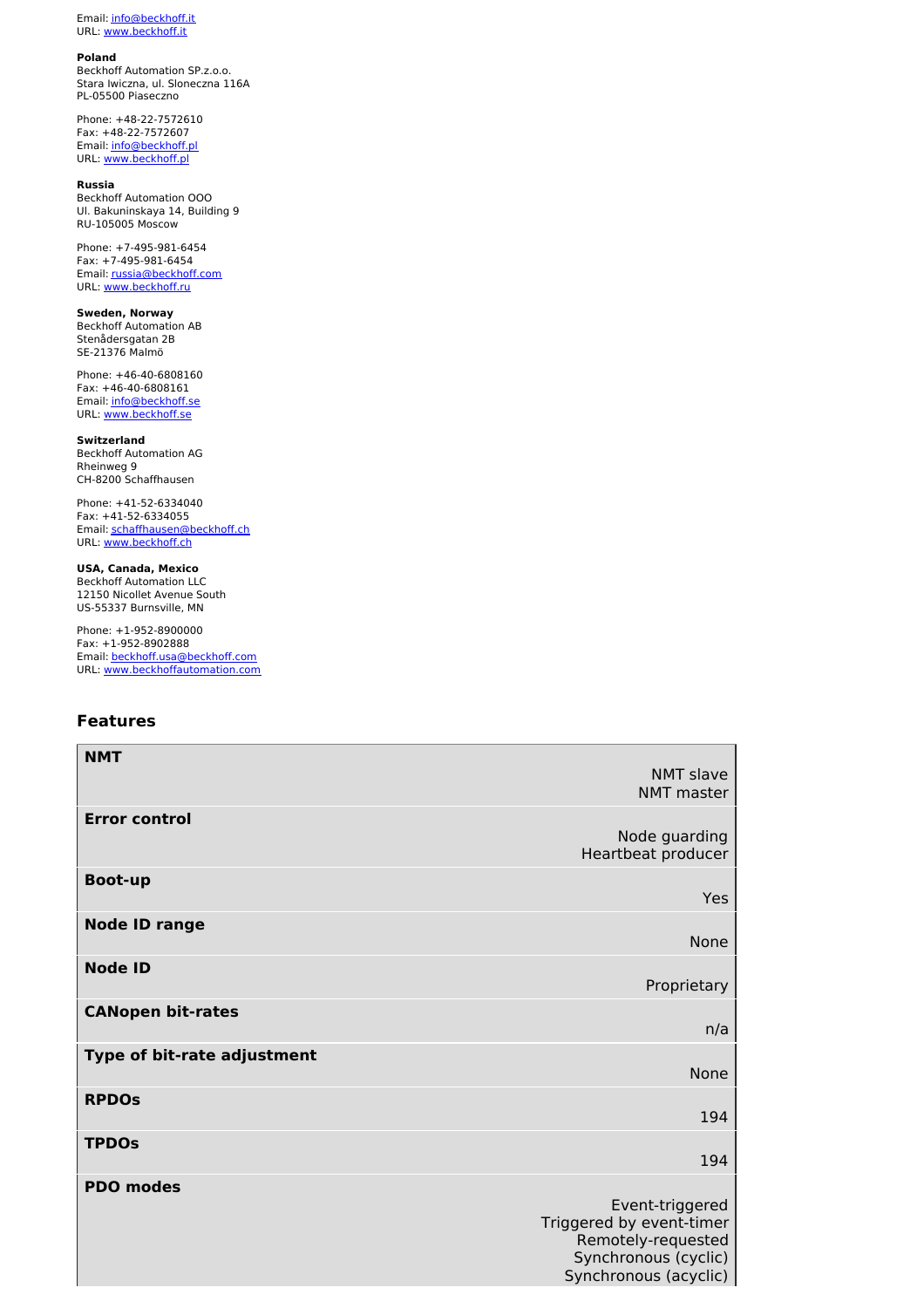Email: [info@beckhoff.it](mailto:info@beckhoff.it) URL: [www.beckhoff.it](http://www.beckhoff.it)

### **Poland**

Beckhoff Automation SP.z.o.o. Stara Iwiczna, ul. Sloneczna 116A PL-05500 Piaseczno

Phone: +48-22-7572610 Fax: +48-22-7572607 Email: **[info@beckhoff.pl](mailto:info@beckhoff.pl)** URL: <u>[www.beckhoff.pl](http://www.beckhoff.pl)</u>

#### **Russia**

Beckhoff Automation OOO Ul. Bakuninskaya 14, Building 9 RU-105005 Moscow

Phone: +7-495-981-6454 Fax: +7-495-981-6454 Email: [russia@beckhoff.com](mailto:russia@beckhoff.com) URL: [www.beckhoff.ru](http://www.beckhoff.ru)

**Sweden, Norway** Beckhoff Automation AB Stenådersgatan 2B SE-21376 Malmö

Phone: +46-40-6808160 Fax: +46-40-6808161 Email: [info@beckhoff.se](mailto:info@beckhoff.se) URL: [www.beckhoff.se](http://www.beckhoff.se)

**Switzerland** Beckhoff Automation AG Rheinweg 9 CH-8200 Schaffhausen

Phone: +41-52-6334040 Fax: +41-52-6334055 Email: [schaffhausen@beckhoff.ch](mailto:schaffhausen@beckhoff.ch) URL: [www.beckhoff.ch](http://www.beckhoff.ch)

**USA, Canada, Mexico** Beckhoff Automation LLC

12150 Nicollet Avenue South US-55337 Burnsville, MN

Phone: +1-952-8900000 Fax: +1-952-8902888 Email: [beckhoff.usa@beckhoff.com](mailto:beckhoff.usa@beckhoff.com) URL: [www.beckhoffautomation.com](http://www.beckhoffautomation.com)

# **Features**

| <b>NMT</b>                  |                                               |
|-----------------------------|-----------------------------------------------|
|                             | <b>NMT slave</b>                              |
|                             | <b>NMT</b> master                             |
| <b>Error control</b>        |                                               |
|                             | Node guarding                                 |
|                             | Heartbeat producer                            |
| <b>Boot-up</b>              |                                               |
|                             | <b>Yes</b>                                    |
| <b>Node ID range</b>        |                                               |
|                             | None                                          |
| <b>Node ID</b>              |                                               |
|                             | Proprietary                                   |
| <b>CANopen bit-rates</b>    |                                               |
|                             | n/a                                           |
| Type of bit-rate adjustment |                                               |
|                             | <b>None</b>                                   |
| <b>RPDOS</b>                |                                               |
|                             | 194                                           |
| <b>TPDOs</b>                |                                               |
|                             | 194                                           |
| <b>PDO modes</b>            |                                               |
|                             | Event-triggered                               |
|                             | Triggered by event-timer                      |
|                             | Remotely-requested                            |
|                             | Synchronous (cyclic)<br>Synchronous (acyclic) |
|                             |                                               |